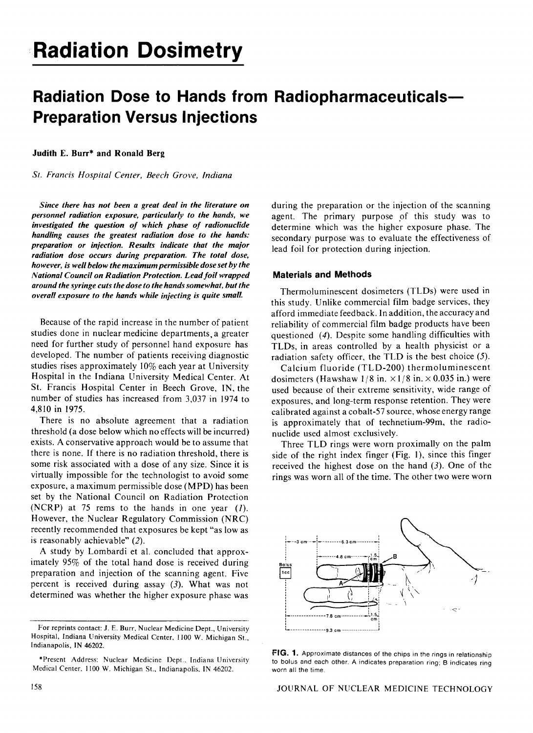# **Radiation Dose to Hands from Radiopharmaceuticals-Preparation Versus Injections**

#### Judith E. Burr\* and Ronald Berg

*St. Francis Hospital Center, Beech Grove, Indiana* 

*Since there has not been a great deal in the literature on personnel radiation exposure, particularly to the hands, we investigated the question of which phase of radionuclide handling causes the greatest radiation dose to the hands: preparation or injection. Results indicate that the major radiation dose occurs during preparation. The total dose, however, is well below the maximum permissible dose set by the National Council on Radiation Protection. Lead foil wrapped around the syringe cuts the dose to the hands somewhat, but the overall exposure to the hands while injecting is quite small.* 

Because of the rapid increase in the number of patient studies done in nuclear medicine departments, a greater need for further study of personnel hand exposure has developed. The number of patients receiving diagnostic studies rises approximately 10% each year at University Hospital in the Indiana University Medical Center. At St. Francis Hospital Center in Beech Grove, IN, the number of studies has increased from 3,037 in 1974 to 4,810 in 1975.

There is no absolute agreement that a radiation threshold (a dose below which no effects will be incurred) exists. A conservative approach would be to assume that there is none. If there is no radiation threshold, there is some risk associated with a dose of any size. Since it is virtually impossible for the technologist to avoid some exposure, a maximum permissible dose (MPD) has been set by the National Council on Radiation Protection (NCRP) at 75 rems to the hands in one year  $(1)$ . However, the Nuclear Regulatory Commission (NRC) recently recommended that exposures be kept "as low as is reasonably achievable" (2).

A study by Lombardi et al. concluded that approximately 95% of the total hand dose is received during preparation and injection of the scanning agent. Five percent is received during assay (3). What was not determined was whether the higher exposure phase was during the preparation or the injection of the scanning agent. The primary purpose of this study was to determine which was the higher exposure phase. The secondary purpose was to evaluate the effectiveness of lead foil for protection during injection.

### Materials and Methods

Thermoluminescent dosimeters (TLDs) were used in this study. Unlike commercial film badge services, they afford immediate feedback. In addition, the accuracy and reliability of commercial film badge products have been questioned (4). Despite some handling difficulties with TLDs, in areas controlled by a health physicist or a radiation safety officer, the TLD is the best choice (5).

Calcium fluoride (TLD-200) thermoluminescent dosimeters (Hawshaw  $1/8$  in.  $\times 1/8$  in.  $\times 0.035$  in.) were used because of their extreme sensitivity, wide range of exposures, and long-term response retention. They were calibrated against a cobalt-57 source, whose energy range is approximately that of technetium-99m, the radionuclide used almost exclusively.

Three TLD rings were worn proximally on the palm side of the right index finger (Fig. I), since this finger received the highest dose on the hand  $(3)$ . One of the rings was worn all of the time. The other two were worn



FIG. 1. Approximate distances of the chips in the rings in relationship to bolus and each other. A indicates preparation ring; B indicates ring worn all the time.

For reprints contact: J. E. Burr, Nuclear Medicine Dept., University Hospital, Indiana University Medical Center, 1100 W. Michigan St., Indianapolis, IN 46202.

<sup>\*</sup>Present Address: Nuclear Medicine Dept.. Indiana University Medical Center. 1100 W. Michigan St., Indianapolis. IN 46202.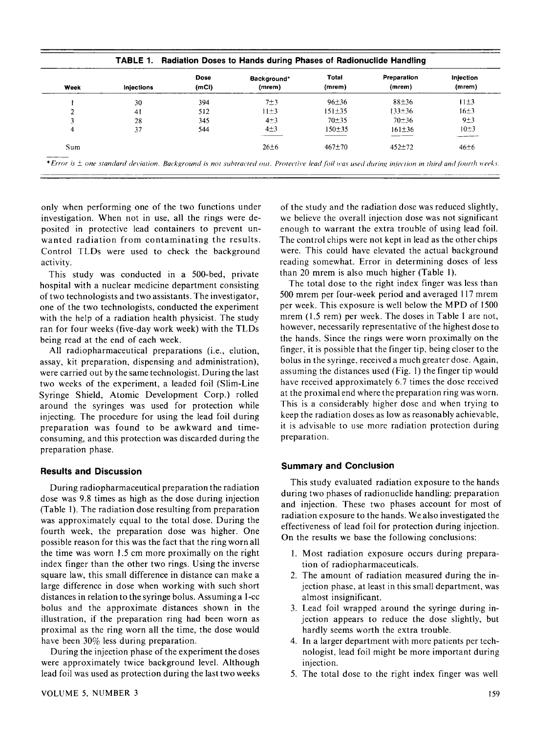| Week | <b>Injections</b> | <b>Dose</b><br>(mCi) | Background*<br>(mrem) | <b>Total</b><br>(mrem) | Preparation<br>(mrem) | Injection<br>(mrem) |
|------|-------------------|----------------------|-----------------------|------------------------|-----------------------|---------------------|
|      | 30                | 394                  | 7±3                   | 96±36                  | $88+36$               | $11\pm3$            |
|      | 41                | 512                  | $11\pm3$              | $151 \pm 35$           | $133 + 36$            | 16±3                |
|      | 28                | 345                  | $4\pm3$               | $70 + 35$              | $70 + 36$             | 9±3                 |
| 4    | 37                | 544                  | $4\pm3$               | $150 + 35$             | $161 \pm 36$          | $10\pm3$            |
| Sum  |                   |                      | $26 \pm 6$            | $467 + 70$             | $452+72$              | $46 \pm 6$          |

only when performing one of the two functions under investigation. When not in use, all the rings were deposited in protective lead containers to prevent unwanted radiation from contaminating the results. Control TLDs were used to check the background activity.

This study was conducted in a 500-bed, private hospital with a nuclear medicine department consisting of two technologists and two assistants. The investigator, one of the two technologists, conducted the experiment with the help of a radiation health physicist. The study ran for four weeks (five-day work week) with the TLDs being read at the end of each week.

All radiopharmaceutical preparations (i.e., elution, assay, kit preparation, dispensing and administration), were carried out by the same technologist. During the last two weeks of the experiment, a leaded foil (Slim-Line Syringe Shield, Atomic Development Corp.) rolled around the syringes was used for protection while injecting. The procedure for using the lead foil during preparation was found to be awkward and timeconsuming, and this protection was discarded during the preparation phase.

## **Results and Discussion**

During radiopharmaceutical preparation the radiation dose was 9.8 times as high as the dose during injection (Table 1). The radiation dose resulting from preparation was approximately equal to the total dose. During the fourth week, the preparation dose was higher. One possible reason for this was the fact that the ring worn all the time was worn 1.5 em more proximally on the right index finger than the other two rings. Using the inverse square law, this small difference in distance can make a large difference in dose when working with such short distances in relation to the syringe bolus. Assuming a I-cc bolus and the approximate distances shown in the illustration, if the preparation ring had been worn as proximal as the ring worn all the time, the dose would have been 30% less during preparation.

During the injection phase of the experiment the doses were approximately twice background level. Although lead foil was used as protection during the last two weeks

of the study and the radiation dose was reduced slightly, we believe the overall injection dose was not significant enough to warrant the extra trouble of using lead foil. The control chips were not kept in lead as the other chips were. This could have elevated the actual background reading somewhat. Error in determining doses of less than 20 mrem is also much higher (Table I).

The total dose to the right index finger was less than 500 mrem per four-week period and averaged 117 mrem per week. This exposure is well below the MPD of 1500 mrem (1.5 rem) per week. The doses in Table 1 are not, however, necessarily representative of the highest dose to the hands. Since the rings were worn proximally on the finger, it is possible that the finger tip, being closer to the bolus in the syringe, received a much greater dose. Again, assuming the distances used (Fig. I) the finger tip would have received approximately 6.7 times the dose received at the proximal end where the preparation ring was worn. This is a considerably higher dose and when trying to keep the radiation doses as low as reasonably achievable, it is advisable to use more radiation protection during preparation.

## **Summary and Conclusion**

This study evaluated radiation exposure to the hands during two phases of radionuclide handling: preparation and injection. These two phases account for most of radiation exposure to the hands. We also investigated the effectiveness of lead foil for protection during injection. On the results we base the following conclusions:

- I. Most radiation exposure occurs during preparation of radiopharmaceuticals.
- 2. The amount of radiation measured during the injection phase, at least in this small department, was almost insignificant.
- 3. Lead foil wrapped around the syringe during injection appears to reduce the dose slightly, but hardly seems worth the extra trouble.
- 4. In a larger department with more patients per technologist, lead foil might be more important during injection.
- 5. The total dose to the right index finger was well